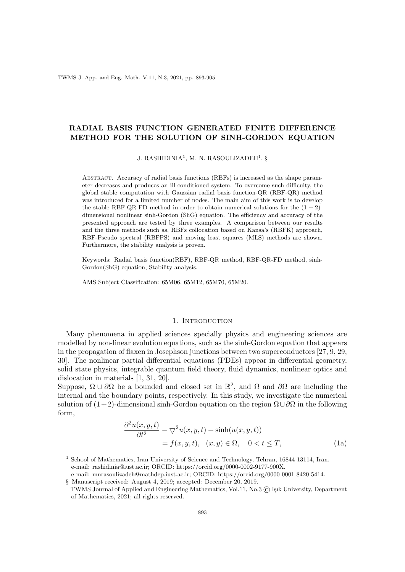TWMS J. App. and Eng. Math. V.11, N.3, 2021, pp. 893-905

# RADIAL BASIS FUNCTION GENERATED FINITE DIFFERENCE METHOD FOR THE SOLUTION OF SINH-GORDON EQUATION

J. RASHIDINIA<sup>1</sup>, M. N. RASOULIZADEH<sup>1</sup>, §

Abstract. Accuracy of radial basis functions (RBFs) is increased as the shape parameter decreases and produces an ill-conditioned system. To overcome such difficulty, the global stable computation with Gaussian radial basis function-QR (RBF-QR) method was introduced for a limited number of nodes. The main aim of this work is to develop the stable RBF-QR-FD method in order to obtain numerical solutions for the  $(1 + 2)$ dimensional nonlinear sinh-Gordon (ShG) equation. The efficiency and accuracy of the presented approach are tested by three examples. A comparison between our results and the three methods such as, RBFs collocation based on Kansa's (RBFK) approach, RBF-Pseudo spectral (RBFPS) and moving least squares (MLS) methods are shown. Furthermore, the stability analysis is proven.

Keywords: Radial basis function(RBF), RBF-QR method, RBF-QR-FD method, sinh-Gordon(ShG) equation, Stability analysis.

AMS Subject Classification: 65M06, 65M12, 65M70, 65M20.

#### 1. INTRODUCTION

Many phenomena in applied sciences specially physics and engineering sciences are modelled by non-linear evolution equations, such as the sinh-Gordon equation that appears in the propagation of flaxen in Josephson junctions between two superconductors [27, 9, 29, 30]. The nonlinear partial differential equations (PDEs) appear in differential geometry, solid state physics, integrable quantum field theory, fluid dynamics, nonlinear optics and dislocation in materials [1, 31, 20].

Suppose,  $\Omega \cup \partial\Omega$  be a bounded and closed set in  $\mathbb{R}^2$ , and  $\Omega$  and  $\partial\Omega$  are including the internal and the boundary points, respectively. In this study, we investigate the numerical solution of  $(1+2)$ -dimensional sinh-Gordon equation on the region  $\Omega \cup \partial \Omega$  in the following form,

$$
\frac{\partial^2 u(x, y, t)}{\partial t^2} - \nabla^2 u(x, y, t) + \sinh(u(x, y, t))
$$
  
= f(x, y, t), (x, y) \in \Omega, 0 < t \le T, (1a)

<sup>1</sup> School of Mathematics, Iran University of Science and Technology, Tehran, 16844-13114, Iran.

e-mail: rashidinia@iust.ac.ir; ORCID: https://orcid.org/0000-0002-9177-900X.

e-mail: mnrasoulizadeh@mathdep.iust.ac.ir; ORCID: https://orcid.org/0000-0001-8420-5414.

<sup>§</sup> Manuscript received: August 4, 2019; accepted: December 20, 2019. TWMS Journal of Applied and Engineering Mathematics, Vol.11, No.3 (C) Isik University, Department of Mathematics, 2021; all rights reserved.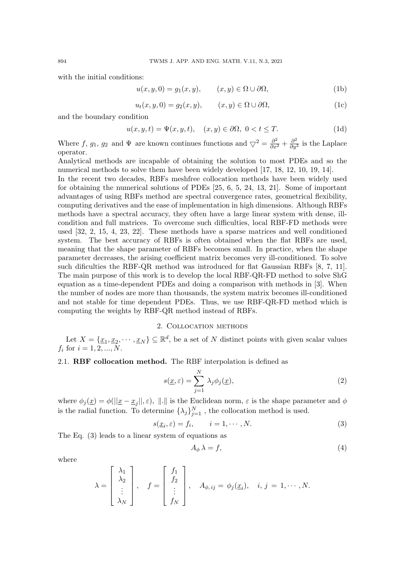with the initial conditions:

$$
u(x, y, 0) = g_1(x, y), \qquad (x, y) \in \Omega \cup \partial \Omega,
$$
 (1b)

$$
u_t(x, y, 0) = g_2(x, y), \qquad (x, y) \in \Omega \cup \partial \Omega,
$$
 (1c)

and the boundary condition

$$
u(x, y, t) = \Psi(x, y, t), \quad (x, y) \in \partial\Omega, \ 0 < t \leq T. \tag{1d}
$$

Where f,  $g_1$ ,  $g_2$  and  $\Psi$  are known continues functions and  $\bigtriangledown^2 = \frac{\partial^2}{\partial x^2} + \frac{\partial^2}{\partial y^2}$  is the Laplace operator.

Analytical methods are incapable of obtaining the solution to most PDEs and so the numerical methods to solve them have been widely developed [17, 18, 12, 10, 19, 14].

In the recent two decades, RBFs meshfree collocation methods have been widely used for obtaining the numerical solutions of PDEs [25, 6, 5, 24, 13, 21]. Some of important advantages of using RBFs method are spectral convergence rates, geometrical flexibility, computing derivatives and the ease of implementation in high dimensions. Although RBFs methods have a spectral accuracy, they often have a large linear system with dense, illcondition and full matrices. To overcome such difficulties, local RBF-FD methods were used [32, 2, 15, 4, 23, 22]. These methods have a sparse matrices and well conditioned system. The best accuracy of RBFs is often obtained when the flat RBFs are used, meaning that the shape parameter of RBFs becomes small. In practice, when the shape parameter decreases, the arising coefficient matrix becomes very ill-conditioned. To solve such dificulties the RBF-QR method was introduced for flat Gaussian RBFs [8, 7, 11]. The main purpose of this work is to develop the local RBF-QR-FD method to solve ShG equation as a time-dependent PDEs and doing a comparison with methods in [3]. When the number of nodes are more than thousands, the system matrix becomes ill-conditioned and not stable for time dependent PDEs. Thus, we use RBF-QR-FD method which is computing the weights by RBF-QR method instead of RBFs.

### 2. Collocation methods

Let  $X = {\underline{x_1, x_2, \dots, x_N}} \subseteq \mathbb{R}^d$ , be a set of N distinct points with given scalar values  $f_i$  for  $i = 1, 2, ..., N$ .

# 2.1. RBF collocation method. The RBF interpolation is defined as

$$
s(\underline{x}, \varepsilon) = \sum_{j=1}^{N} \lambda_j \phi_j(\underline{x}), \qquad (2)
$$

where  $\phi_j(\underline{x}) = \phi(||\underline{x} - \underline{x}_j||, \varepsilon), ||.||$  is the Euclidean norm,  $\varepsilon$  is the shape parameter and  $\phi$ is the radial function. To determine  $\{\lambda_j\}_{j=1}^N$ , the collocation method is used.

$$
s(\underline{x}_i, \varepsilon) = f_i, \qquad i = 1, \cdots, N. \tag{3}
$$

The Eq. (3) leads to a linear system of equations as

$$
A_{\phi} \lambda = f,\tag{4}
$$

where

$$
\lambda = \begin{bmatrix} \lambda_1 \\ \lambda_2 \\ \vdots \\ \lambda_N \end{bmatrix}, \quad f = \begin{bmatrix} f_1 \\ f_2 \\ \vdots \\ f_N \end{bmatrix}, \quad A_{\phi, ij} = \phi_j(\underline{x}_i), \quad i, j = 1, \cdots, N.
$$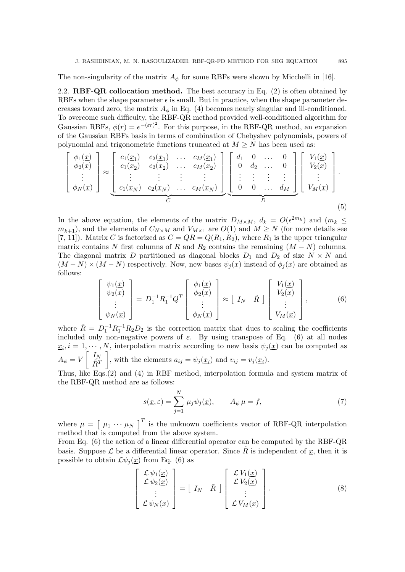The non-singularity of the matrix  $A_{\phi}$  for some RBFs were shown by Micchelli in [16].

2.2. **RBF-QR collocation method.** The best accuracy in Eq.  $(2)$  is often obtained by RBFs when the shape parameter  $\epsilon$  is small. But in practice, when the shape parameter decreases toward zero, the matrix  $A_{\phi}$  in Eq. (4) becomes nearly singular and ill-conditioned. To overcome such difficulty, the RBF-QR method provided well-conditioned algorithm for Gaussian RBFs,  $\phi(r) = e^{-(\varepsilon r)^2}$ . For this purpose, in the RBF-QR method, an expansion of the Gaussian RBFs basis in terms of combination of Chebyshev polynomials, powers of polynomial and trigonometric functions truncated at  $M \geq N$  has been used as:

$$
\begin{bmatrix}\n\phi_1(\underline{x}) \\
\phi_2(\underline{x}) \\
\vdots \\
\phi_N(\underline{x})\n\end{bmatrix}\n\approx\n\begin{bmatrix}\nc_1(\underline{x}_1) & c_2(\underline{x}_1) & \dots & c_M(\underline{x}_1) \\
c_1(\underline{x}_2) & c_2(\underline{x}_2) & \dots & c_M(\underline{x}_2) \\
\vdots & \vdots & \vdots & \vdots \\
c_1(\underline{x}_N) & c_2(\underline{x}_N) & \dots & c_M(\underline{x}_N)\n\end{bmatrix}\n\begin{bmatrix}\nd_1 & 0 & \dots & 0 \\
0 & d_2 & \dots & 0 \\
\vdots & \vdots & \vdots & \vdots \\
0 & 0 & \dots & d_M\n\end{bmatrix}\n\begin{bmatrix}\nV_1(\underline{x}) \\
V_2(\underline{x}) \\
\vdots \\
V_M(\underline{x})\n\end{bmatrix}.
$$
\n(5)

In the above equation, the elements of the matrix  $D_{M\times M}$ ,  $d_k = O(\epsilon^{2m_k})$  and  $(m_k \leq$  $m_{k+1}$ , and the elements of  $C_{N\times M}$  and  $V_{M\times 1}$  are  $O(1)$  and  $M \geq N$  (for more details see [7, 11]). Matrix C is factorized as  $C = QR = Q(R_1, R_2)$ , where  $R_1$  is the upper triangular matrix contains N first columns of R and  $R_2$  contains the remaining  $(M - N)$  columns. The diagonal matrix D partitioned as diagonal blocks  $D_1$  and  $D_2$  of size  $N \times N$  and  $(M - N) \times (M - N)$  respectively. Now, new bases  $\psi_j(\underline{x})$  instead of  $\phi_j(\underline{x})$  are obtained as follows:

$$
\begin{bmatrix}\n\psi_1(\underline{x}) \\
\psi_2(\underline{x}) \\
\vdots \\
\psi_N(\underline{x})\n\end{bmatrix} = D_1^{-1} R_1^{-1} Q^T\n\begin{bmatrix}\n\phi_1(\underline{x}) \\
\phi_2(\underline{x}) \\
\vdots \\
\phi_N(\underline{x})\n\end{bmatrix} \approx \begin{bmatrix}\nI_N & \tilde{R}\n\end{bmatrix}\n\begin{bmatrix}\nV_1(\underline{x}) \\
V_2(\underline{x}) \\
\vdots \\
V_M(\underline{x})\n\end{bmatrix},\n\tag{6}
$$

where  $\tilde{R} = D_1^{-1} R_1^{-1} R_2 D_2$  is the correction matrix that dues to scaling the coefficients included only non-negative powers of  $\varepsilon$ . By using transpose of Eq. (6) at all nodes  $\underline{x}_i, i = 1, \dots, N$ , interpolation matrix according to new basis  $\psi_j(\underline{x})$  can be computed as  $A_\psi=V \left[\begin{array}{c} I_N \ \tilde{p} T \end{array}\right]$  $\tilde{R}^T$ , with the elements  $a_{ij} = \psi_j(\underline{x}_i)$  and  $v_{ij} = v_j(\underline{x}_i)$ . Thus, like Eqs.(2) and (4) in RBF method, interpolation formula and system matrix of

the RBF-QR method are as follows:

$$
s(\underline{x}, \varepsilon) = \sum_{j=1}^{N} \mu_j \psi_j(\underline{x}), \qquad A_{\psi} \mu = f,\tag{7}
$$

where  $\mu = \begin{bmatrix} \mu_1 & \cdots & \mu_N \end{bmatrix}^T$  is the unknown coefficients vector of RBF-QR interpolation method that is computed from the above system.

From Eq. (6) the action of a linear differential operator can be computed by the RBF-QR basis. Suppose  $\mathcal L$  be a differential linear operator. Since R is independent of  $x$ , then it is possible to obtain  $\mathcal{L}\psi_i(\underline{x})$  from Eq. (6) as

$$
\begin{bmatrix}\n\mathcal{L}\psi_1(\underline{x}) \\
\mathcal{L}\psi_2(\underline{x}) \\
\vdots \\
\mathcal{L}\psi_N(\underline{x})\n\end{bmatrix} = \begin{bmatrix}\nI_N & \tilde{R}\n\end{bmatrix} \begin{bmatrix}\n\mathcal{L}V_1(\underline{x}) \\
\mathcal{L}V_2(\underline{x}) \\
\vdots \\
\mathcal{L}V_M(\underline{x})\n\end{bmatrix}.
$$
\n(8)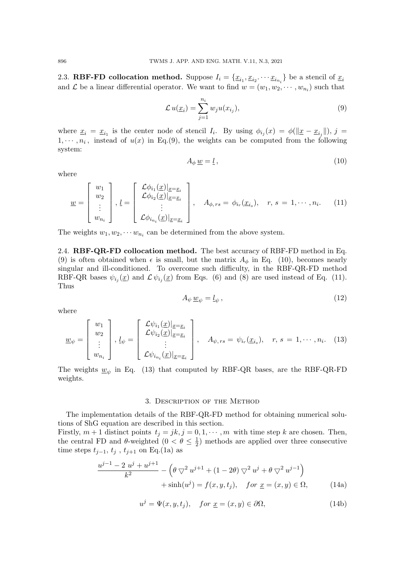2.3. **RBF-FD collocation method.** Suppose  $I_i = \{ \underline{x}_{i_1}, \underline{x}_{i_2}, \cdots, \underline{x}_{i_{n_i}} \}$  be a stencil of  $\underline{x}_i$ and  $\mathcal L$  be a linear differential operator. We want to find  $w = (w_1, w_2, \dots, w_{n_i})$  such that

$$
\mathcal{L}u(\underline{x}_i) = \sum_{j=1}^{n_i} w_j u(x_{i_j}), \qquad (9)
$$

where  $\underline{x}_i = \underline{x}_{i_1}$  is the center node of stencil  $I_i$ . By using  $\phi_{i_j}(x) = \phi(\|\underline{x} - \underline{x}_{i_j}\|), j =$  $1, \dots, n_i$ , instead of  $u(x)$  in Eq.(9), the weights can be computed from the following system:

$$
A_{\phi} \underline{w} = \underline{l} \,, \tag{10}
$$

where

$$
\underline{w} = \begin{bmatrix} w_1 \\ w_2 \\ \vdots \\ w_{n_i} \end{bmatrix}, \underline{l} = \begin{bmatrix} \mathcal{L}\phi_{i_1}(\underline{x})|_{\underline{x}=\underline{x}_i} \\ \mathcal{L}\phi_{i_2}(\underline{x})|_{\underline{x}=\underline{x}_i} \\ \vdots \\ \mathcal{L}\phi_{i_{n_i}}(\underline{x})|_{\underline{x}=\underline{x}_i} \end{bmatrix}, \quad A_{\phi,rs} = \phi_{i_r}(\underline{x}_{i_s}), \quad r, s = 1, \cdots, n_i. \quad (11)
$$

The weights  $w_1, w_2, \cdots w_{n_i}$  can be determined from the above system.

2.4. RBF-QR-FD collocation method. The best accuracy of RBF-FD method in Eq. (9) is often obtained when  $\epsilon$  is small, but the matrix  $A_{\phi}$  in Eq. (10), becomes nearly singular and ill-conditioned. To overcome such difficulty, in the RBF-QR-FD method RBF-QR bases  $\psi_{i_j}(\underline{x})$  and  $\mathcal{L}\,\psi_{i_j}(\underline{x})$  from Eqs. (6) and (8) are used instead of Eq. (11). Thus

$$
A_{\psi} \underline{w}_{\psi} = \underline{l}_{\psi} \,, \tag{12}
$$

where

$$
\underline{w}_{\psi} = \begin{bmatrix} w_1 \\ w_2 \\ \vdots \\ w_{n_i} \end{bmatrix}, \underline{l}_{\psi} = \begin{bmatrix} \mathcal{L}\psi_{i_1}(\underline{x})|_{\underline{x}=\underline{x}_i} \\ \mathcal{L}\psi_{i_2}(\underline{x})|_{\underline{x}=\underline{x}_i} \\ \vdots \\ \mathcal{L}\psi_{i_{n_i}}(\underline{x})|_{\underline{x}=\underline{x}_i} \end{bmatrix}, \quad A_{\psi,rs} = \psi_{i_r}(\underline{x}_{i_s}), \quad r, s = 1, \cdots, n_i. \quad (13)
$$

The weights  $\underline{w}_{\psi}$  in Eq. (13) that computed by RBF-QR bases, are the RBF-QR-FD weights.

#### 3. Description of the Method

The implementation details of the RBF-QR-FD method for obtaining numerical solutions of ShG equation are described in this section.

Firstly,  $m + 1$  distinct points  $t_j = jk$ ,  $j = 0, 1, \dots, m$  with time step k are chosen. Then, the central FD and  $\theta$ -weighted  $(0 < \theta \leq \frac{1}{2})$  $(\frac{1}{2})$  methods are applied over three consecutive time steps  $t_{j-1}, t_j, t_{j+1}$  on Eq.(1a) as

$$
\frac{u^{j-1} - 2 u^j + u^{j+1}}{k^2} - \left(\theta \nabla^2 u^{j+1} + (1 - 2\theta) \nabla^2 u^j + \theta \nabla^2 u^{j-1}\right) + \sinh(u^j) = f(x, y, t_j), \quad \text{for } \underline{x} = (x, y) \in \Omega,
$$
 (14a)

$$
u^{j} = \Psi(x, y, t_{j}), \quad for \underline{x} = (x, y) \in \partial \Omega,
$$
\n(14b)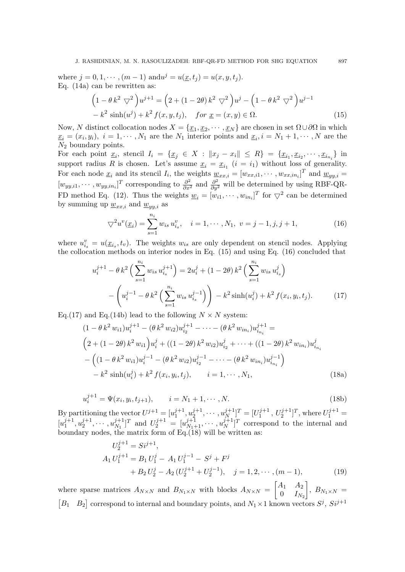where  $j = 0, 1, \dots, (m - 1)$  and  $u^{j} = u(\underline{x}, t_{j}) = u(x, y, t_{j}).$ Eq. (14a) can be rewritten as:

$$
\left(1 - \theta k^2 \nabla^2\right) u^{j+1} = \left(2 + (1 - 2\theta) k^2 \nabla^2\right) u^j - \left(1 - \theta k^2 \nabla^2\right) u^{j-1} - k^2 \sinh(u^j) + k^2 f(x, y, t_j), \quad \text{for } \underline{x} = (x, y) \in \Omega. \tag{15}
$$

Now, N distinct collocation nodes  $X = \{x_1, x_2, \cdots, x_N\}$  are chosen in set  $\Omega \cup \partial \Omega$  in which  $\underline{x}_i = (x_i, y_i), i = 1, \cdots, N_1$  are the  $N_1$  interior points and  $\underline{x}_i, i = N_1 + 1, \cdots, N$  are the  $N_2$  boundary points.

For each point  $\underline{x}_i$ , stencil  $I_i = \{ \underline{x}_j \in X : ||x_j - x_i|| \leq R \} = \{ \underline{x}_{i_1}, \underline{x}_{i_2}, \cdots, \underline{x}_{i_{n_i}} \}$  in support radius R is chosen. Let's assume  $\underline{x}_i = \underline{x}_{i_1}$   $(i = i_1)$  without loss of generality. For each node  $\underline{x}_i$  and its stencil  $I_i$ , the weights  $\underline{w}_{xx,i} = [w_{xx,i1}, \cdots, w_{xx,in_i}]^T$  and  $\underline{w}_{yy,i} =$  $[w_{yy,i1}, \cdots, w_{yy,in_i}]^T$  corresponding to  $\frac{\partial^2}{\partial x^2}$  and  $\frac{\partial^2}{\partial y^2}$  will be determined by using RBF-QR-FD method Eq. (12). Thus the weights  $\underline{w}_i = [w_{i1}, \cdots, w_{in_i}]^T$  for  $\nabla^2$  can be determined by summing up  $\underline{w}_{xx,i}$  and  $\underline{w}_{yy,i}$  as

$$
\nabla^2 u^v(\underline{x}_i) = \sum_{s=1}^{n_i} w_{is} u^v_{is}, \quad i = 1, \cdots, N_1, \ v = j - 1, j, j + 1,
$$
\n(16)

where  $u_{i_s}^v = u(\underline{x}_{i_s}, t_v)$ . The weights  $w_{i_s}$  are only dependent on stencil nodes. Applying the collocation methods on interior nodes in Eq. (15) and using Eq. (16) concluded that

$$
u_i^{j+1} - \theta k^2 \left( \sum_{s=1}^{n_i} w_{is} u_{i_s}^{j+1} \right) = 2u_i^j + (1 - 2\theta) k^2 \left( \sum_{s=1}^{n_i} w_{is} u_{i_s}^j \right)
$$

$$
- \left( u_i^{j-1} - \theta k^2 \left( \sum_{s=1}^{n_i} w_{is} u_{i_s}^{j-1} \right) \right) - k^2 \sinh(u_i^j) + k^2 f(x_i, y_i, t_j). \tag{17}
$$

Eq.(17) and Eq.(14b) lead to the following  $N \times N$  system:

$$
(1 - \theta k^2 w_{i1})u_i^{j+1} - (\theta k^2 w_{i2})u_{i_2}^{j+1} - \dots - (\theta k^2 w_{in_i})u_{i_{n_i}}^{j+1} =
$$
  
\n
$$
(2 + (1 - 2\theta) k^2 w_{i1})u_i^j + ((1 - 2\theta) k^2 w_{i2})u_{i_2}^j + \dots + ((1 - 2\theta) k^2 w_{in_i})u_{i_{n_i}}^j
$$
  
\n
$$
- ((1 - \theta k^2 w_{i1})u_i^{j-1} - (\theta k^2 w_{i2})u_{i_2}^{j-1} - \dots - (\theta k^2 w_{in_i})u_{i_{n_i}}^{j-1})
$$
  
\n
$$
- k^2 \sinh(u_i^j) + k^2 f(x_i, y_i, t_j), \qquad i = 1, \dots, N_1,
$$
\n(18a)

$$
u_i^{j+1} = \Psi(x_i, y_i, t_{j+1}), \qquad i = N_1 + 1, \cdots, N.
$$
 (18b)

By partitioning the vector  $U^{j+1} = [u_1^{j+1}]$  $j+1, u_2^{j+1}$  $x_2^{j+1}, \cdots, u_N^{j+1}$  $\binom{j+1}{N}$ <sup>T</sup> =  $\binom{U_1^{j+1}}{N}$  $U_1^{j+1}, U_2^{j+1}]^T$ , where  $U_1^{j+1} =$  $[u_1^{j+1}]$  $j+1, u_2^{j+1}$  $x_2^{j+1}, \cdots, u_{N_1}^{j+1}$  $[y_{N_1}^{j+1}]^T$  and  $U_2^{j+1} = [u_{N_1+1}^{j+1}, \cdots, u_N^{j+1}]$  $\binom{j+1}{N}$  correspond to the internal and boundary nodes, the matrix form of  $Eq.(18)$  will be written as:

$$
U_2^{j+1} = Si^{j+1},
$$
  
\n
$$
A_1 U_1^{j+1} = B_1 U_1^j - A_1 U_1^{j-1} - S^j + F^j
$$
  
\n
$$
+ B_2 U_2^j - A_2 (U_2^{j+1} + U_2^{j-1}), \quad j = 1, 2, \dots, (m-1),
$$
\n(19)

where sparse matrices  $A_{N\times N}$  and  $B_{N_1\times N}$  with blocks  $A_{N\times N} = \begin{bmatrix} A_1 & A_2 \ 0 & I_N \end{bmatrix}$  $0$   $I_{N_2}$  $\Big\}, B_{N_1 \times N} =$ [B<sub>1</sub> B<sub>2</sub>] correspond to internal and boundary points, and  $N_1 \times 1$  known vectors  $S^j$ ,  $Si^{j+1}$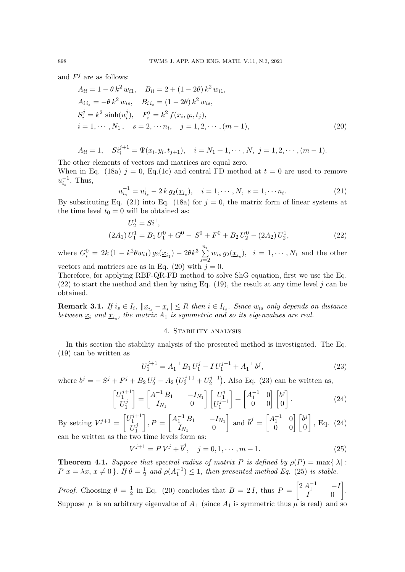and  $F^j$  are as follows:

$$
A_{ii} = 1 - \theta k^2 w_{i1}, \quad B_{ii} = 2 + (1 - 2\theta) k^2 w_{i1},
$$
  
\n
$$
A_{i i_s} = -\theta k^2 w_{i s}, \quad B_{i i_s} = (1 - 2\theta) k^2 w_{i s},
$$
  
\n
$$
S_i^j = k^2 \sinh(u_i^j), \quad F_i^j = k^2 f(x_i, y_i, t_j),
$$
  
\n
$$
i = 1, \dots, N_1, \quad s = 2, \dots, n_i, \quad j = 1, 2, \dots, (m - 1),
$$
\n(20)

$$
A_{ii} = 1, \quad Si_i^{j+1} = \Psi(x_i, y_i, t_{j+1}), \quad i = N_1 + 1, \cdots, N, \ j = 1, 2, \cdots, (m-1).
$$

The other elements of vectors and matrices are equal zero. When in Eq. (18a)  $j = 0$ , Eq. (1c) and central FD method at  $t = 0$  are used to remove  $u_{i_s}^{-1}$ . Thus,

$$
u_{i_s}^{-1} = u_{i_s}^1 - 2 k g_2(\underline{x}_{i_s}), \quad i = 1, \cdots, N, \ s = 1, \cdots n_i.
$$
 (21)

By substituting Eq. (21) into Eq. (18a) for  $j = 0$ , the matrix form of linear systems at the time level  $t_0 = 0$  will be obtained as:

$$
U_2^1 = Si^1,
$$
  
\n
$$
(2A_1) U_1^1 = B_1 U_1^0 + G^0 - S^0 + F^0 + B_2 U_2^0 - (2A_2) U_2^1,
$$
\n
$$
(22)
$$

where  $G_i^0 = 2k(1 - k^2\theta w_{i1}) g_2(\underline{x}_{i_1}) - 2\theta k^3 \sum_{i=1}^{n_i}$  $\sum_{s=2} w_{is} g_2(\underline{x}_{i_s}), i = 1, \cdots, N_1$  and the other vectors and matrices are as in Eq. (20) with  $j = 0$ .

Therefore, for applying RBF-QR-FD method to solve ShG equation, first we use the Eq. (22) to start the method and then by using Eq. (19), the result at any time level j can be obtained.

**Remark 3.1.** If  $i_s \in I_i$ ,  $||\underline{x}_{i_s} - \underline{x}_i|| \leq R$  then  $i \in I_{i_s}$ . Since  $w_{is}$  only depends on distance between  $\underline{x}_i$  and  $\underline{x}_i$ , the matrix  $A_1$  is symmetric and so its eigenvalues are real.

## 4. Stability analysis

In this section the stability analysis of the presented method is investigated. The Eq. (19) can be written as

$$
U_1^{j+1} = A_1^{-1} B_1 U_1^j - I U_1^{j-1} + A_1^{-1} b^j,
$$
\n(23)

where  $b^j = -S^j + F^j + B_2 U_2^j - A_2 (U_2^{j+1} + U_2^{j-1})$  $\binom{2}{2}$ . Also Eq. (23) can be written as,

$$
\begin{bmatrix} U_1^{j+1} \\ U_1^j \end{bmatrix} = \begin{bmatrix} A_1^{-1} B_1 & -I_{N_1} \\ I_{N_1} & 0 \end{bmatrix} \begin{bmatrix} U_1^j \\ U_1^{j-1} \end{bmatrix} + \begin{bmatrix} A_1^{-1} & 0 \\ 0 & 0 \end{bmatrix} \begin{bmatrix} b^j \\ 0 \end{bmatrix}.
$$
 (24)

By setting  $V^{j+1} = \begin{bmatrix} U_1^{j+1} \\ I_{ij} \end{bmatrix}$ 1  $U_1^j$ 1  $\bigg|_1 P = \begin{bmatrix} A_1^{-1} B_1 & -I_{N_1} \\ I & 0 \end{bmatrix}$  $I_{N_1}$  0 and  $\overline{b}^j = \begin{bmatrix} A_1^{-1} & 0 \\ 0 & 0 \end{bmatrix} \begin{bmatrix} b^j \\ 0 \end{bmatrix}$ 0  $\Big]$ , Eq. (24) can be written as the two time levels form as

$$
V^{j+1} = PV^{j} + \overline{b}^{j}, \quad j = 0, 1, \cdots, m - 1.
$$
 (25)

**Theorem 4.1.** Suppose that spectral radius of matrix P is defined by  $\rho(P) = \max\{|\lambda| : P\}$  $P(x) = \lambda x, x \neq 0$ . If  $\theta = \frac{1}{2}$  $\frac{1}{2}$  and  $\rho(A_1^{-1}) \leq 1$ , then presented method Eq. (25) is stable.

*Proof.* Choosing  $\theta = \frac{1}{2}$  $\frac{1}{2}$  in Eq. (20) concludes that  $B = 2I$ , thus  $P = \begin{bmatrix} 2A_1^{-1} & -I \\ I & 0 \end{bmatrix}$  $I \qquad 0$  . Suppose  $\mu$  is an arbitrary eigenvalue of  $A_1$  (since  $A_1$  is symmetric thus  $\mu$  is real) and so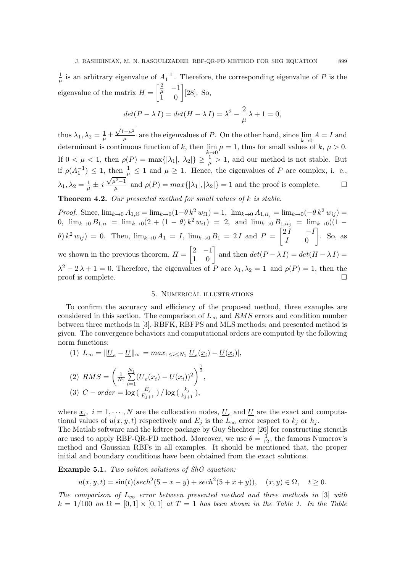1  $\frac{1}{\mu}$  is an arbitrary eigenvalue of  $A_1^{-1}$ . Therefore, the corresponding eigenvalue of P is the eigenvalue of the matrix  $H = \begin{bmatrix} \frac{2}{\mu} & -1 \\ 1 & 0 \end{bmatrix}$  [28]. So,

$$
det(P - \lambda I) = det(H - \lambda I) = \lambda^2 - \frac{2}{\mu}\lambda + 1 = 0,
$$

thus  $\lambda_1, \lambda_2 = \frac{1}{\mu}$  $\frac{1}{\mu}$   $\pm$  $\sqrt{1-\mu^2}$  $\frac{1-p^2}{\mu}$  are the eigenvalues of P. On the other hand, since  $\lim_{k\to 0} A = I$  and determinant is continuous function of k, then  $\lim_{k\to 0} \mu = 1$ , thus for small values of k,  $\mu > 0$ . If  $0 < \mu < 1$ , then  $\rho(P) = \max\{|\lambda_1|, |\lambda_2|\} \geq \frac{1}{\mu} > 1$ , and our method is not stable. But if  $\rho(A_1^{-1}) \leq 1$ , then  $\frac{1}{\rho} \leq 1$  and  $\mu \geq 1$ . Hence, the eigenvalues of P are complex, i. e.,  $\lambda_1, \lambda_2 = \frac{1}{u}$  $\frac{1}{\mu} \pm i \frac{\sqrt{\mu^2-1}}{\mu}$  $\mu^{2}-1$  and  $\rho(P) = max\{|\lambda_1|, |\lambda_2|\} = 1$  and the proof is complete.

**Theorem 4.2.** Our presented method for small values of  $k$  is stable.

Proof. Since,  $\lim_{k\to 0} A_{1,ii} = \lim_{k\to 0} (1-\theta k^2 w_{i1}) = 1$ ,  $\lim_{k\to 0} A_{1,ii_j} = \lim_{k\to 0} (-\theta k^2 w_{ij}) =$ 0,  $\lim_{k\to 0} B_{1,ii} = \lim_{k\to 0} (2 + (1 - \theta) k^2 w_{i1}) = 2$ , and  $\lim_{k\to 0} B_{1,ii_j} = \lim_{k\to 0} ((1 \theta(k^2 w_{ij}) = 0$ . Then,  $\lim_{k \to 0} A_1 = I$ ,  $\lim_{k \to 0} B_1 = 2 I$  and  $P = \begin{bmatrix} 2I & -I \\ I & 0 \end{bmatrix}$  $I \qquad 0$  $\Big]$ . So, as we shown in the previous theorem,  $H = \begin{bmatrix} 2 & -1 \\ 1 & 0 \end{bmatrix}$  and then  $det(P - \lambda I) = det(H - \lambda I)$  $\lambda^2 - 2\lambda + 1 = 0$ . Therefore, the eigenvalues of P are  $\lambda_1, \lambda_2 = 1$  and  $\rho(P) = 1$ , then the proof is complete.

### 5. Numerical illustrations

To confirm the accuracy and efficiency of the proposed method, three examples are considered in this section. The comparison of  $L_{\infty}$  and RMS errors and condition number between three methods in [3], RBFK, RBFPS and MLS methods; and presented method is given. The convergence behaviors and computational orders are computed by the following norm functions:

(1) 
$$
L_{\infty} = ||\underline{U}_e - \underline{U}||_{\infty} = max_{1 \le i \le N_1} |\underline{U}_e(\underline{x}_i) - \underline{U}(\underline{x}_i)|,
$$
  
\n(2)  $RMS = \left(\frac{1}{N_1} \sum_{i=1}^{N_1} (\underline{U}_e(\underline{x}_i) - \underline{U}(\underline{x}_i))^2\right)^{\frac{1}{2}},$   
\n(3)  $C - order = log\left(\frac{E_j}{E_{j+1}}\right) / log\left(\frac{k_j}{k_{j+1}}\right),$ 

where  $\underline{x}_i$ ,  $i = 1, \dots, N$  are the collocation nodes,  $\underline{U}_e$  and  $\underline{U}$  are the exact and computational values of  $u(x, y, t)$  respectively and  $E_j$  is the  $L_{\infty}$  error respect to  $k_j$  or  $h_j$ . The Matlab software and the kdtree package by Guy Shechter [26] for constructing stencils are used to apply RBF-QR-FD method. Moreover, we use  $\theta = \frac{1}{12}$ , the famous Numerov's method and Gaussian RBFs in all examples. It should be mentioned that, the proper initial and boundary conditions have been obtained from the exact solutions.

**Example 5.1.** Two soliton solutions of ShG equation:

$$
u(x, y, t) = \sin(t)(\operatorname{sech}^2(5 - x - y) + \operatorname{sech}^2(5 + x + y)), \quad (x, y) \in \Omega, \quad t \ge 0.
$$

The comparison of  $L_{\infty}$  error between presented method and three methods in [3] with  $k = 1/100$  on  $\Omega = [0, 1] \times [0, 1]$  at  $T = 1$  has been shown in the Table 1. In the Table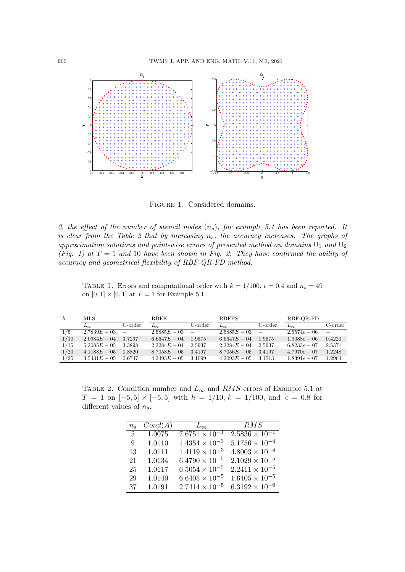

FIGURE 1. Considered domains.

2, the effect of the number of stencil nodes  $(n_s)$ , for example 5.1 has been reported. It is clear from the Table 2 that by increasing  $n_s$ , the accuracy increases. The graphs of approximation solutions and point-wise errors of presented method on domains  $\Omega_1$  and  $\Omega_2$ (Fig. 1) at  $T = 1$  and 10 have been shown in Fig. 2. They have confirmed the ability of accuracy and geometrical flexibility of RBF-QR-FD method.

TABLE 1. Errors and computational order with  $k = 1/100$ ,  $\epsilon = 0.4$  and  $n_s = 49$ on  $[0, 1] \times [0, 1]$  at  $T = 1$  for Example 5.1.

| h    | MLS.             |          | <b>RBFK</b>           | <b>RBFPS</b> |                       |            | RBF-QR-FD      |                          |
|------|------------------|----------|-----------------------|--------------|-----------------------|------------|----------------|--------------------------|
|      | $L_{\infty}$     | C-order  | $L_{\infty}$          | C-order      | $L_{\infty}$          | C-order    | $L_{\infty}$   | C-order                  |
| 1/5  | $2.7839E - 03 =$ |          | $2.5885E - 03 =$      |              | $2.5885E - 03$        | $\sim$ $-$ | $2.5574e - 06$ | $\overline{\phantom{a}}$ |
| 1/10 | $2.0984E - 04$   | 3.7297   | $6.6647E - 04$        | 1.9575       | $6.6647E - 04$        | 1.9575     | $1.9088e - 06$ | 0.4220                   |
| 1/15 | $5.3085E - 05$   | - 3.3898 | $2.3284E - 04$ 2.5937 |              | $2.3284E - 04$ 2.5937 |            | $6.8233e - 07$ | 2.5371                   |
| 1/20 | $4.1188E - 05$   | 0.8820   | $8.7058E - 05$ 3.4197 |              | $8.7056E - 05$ 3.4197 |            | $4.7970e - 07$ | 1.2248                   |
| 1/25 | $3.5431E - 05$   | 0.6747   | $4.3493E - 05$ 3.1099 |              | $4.3093E - 05$ 3.1513 |            | $1.8391e - 07$ | 4.2964                   |

TABLE 2. Condition number and  $L_{\infty}$  and RMS errors of Example 5.1 at  $T = 1$  on  $[-5, 5] \times [-5, 5]$  with  $h = 1/10$ ,  $k = 1/100$ , and  $\epsilon = 0.8$  for different values of  $n_s$ .

| $n_{\rm s}$    | Cond(A) | $L_{\infty}$            | RMS                     |
|----------------|---------|-------------------------|-------------------------|
| 5 <sub>5</sub> | 1.0075  | $7.6751 \times 10^{-1}$ | $2.5836 \times 10^{-1}$ |
| 9              | 1.0110  | $1.4354 \times 10^{-3}$ | $5.1756 \times 10^{-4}$ |
| 13             | 1.0111  | $1.4119 \times 10^{-3}$ | $4.8003 \times 10^{-4}$ |
| 21             | 1.0134  | $6.4790 \times 10^{-5}$ | $2.1029 \times 10^{-5}$ |
| 25             | 1.0117  | $6.5054 \times 10^{-5}$ | $2.2411 \times 10^{-5}$ |
| 29             | 1.0140  | $6.6405 \times 10^{-5}$ | $1.6405 \times 10^{-5}$ |
| 37             | 1.0191  | $2.7414 \times 10^{-5}$ | $6.3192 \times 10^{-6}$ |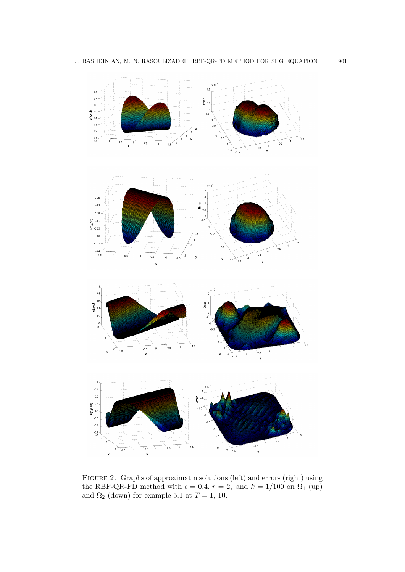

Figure 2. Graphs of approximatin solutions (left) and errors (right) using the RBF-QR-FD method with  $\epsilon = 0.4$ ,  $r = 2$ , and  $k = 1/100$  on  $\Omega_1$  (up) and  $\Omega_2$  (down) for example 5.1 at  $T = 1$ , 10.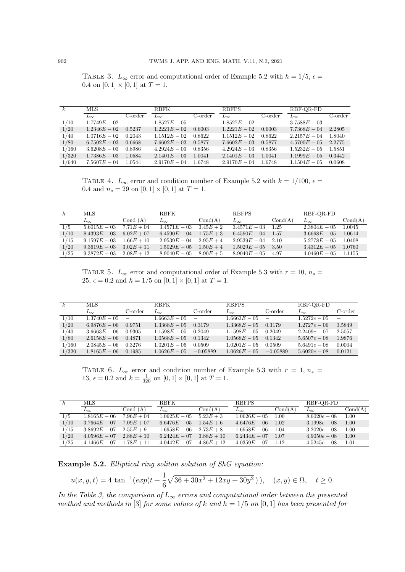TABLE 3.  $L_{\infty}$  error and computational order of Example 5.2 with  $h = 1/5$ ,  $\epsilon =$ 0.4 on  $[0, 1] \times [0, 1]$  at  $T = 1$ .

| $\mathbf{k}$ | MLS.             |         | <b>RBFK</b>      | <b>RBFPS</b>     |                  |         | RBF-QR-FD      |                          |
|--------------|------------------|---------|------------------|------------------|------------------|---------|----------------|--------------------------|
|              | $L_{\infty}$     | C-order | $L_{\infty}$     | $C\text{-order}$ | $L_{\infty}$     | C-order | $L_{\infty}$   | $C$ -order               |
| 1/10         | $1.7749E - 02 =$ |         | $1.8527E - 05 =$ |                  | $1.8527E - 02 =$ |         | $3.7588E - 03$ | $\overline{\phantom{m}}$ |
| 1/20         | $1.2346E - 02$   | 0.5237  | $1.2221E - 02$   | 0.6003           | $1.2221E - 02$   | 0.6003  | $7.7368E - 04$ | 2.2805                   |
| 1/40         | $1.0716E - 02$   | 0.2043  | $1.1512E - 02$   | 0.8622           | $1.1512E - 02$   | 0.8622  | $2.2157E - 04$ | 1.8040                   |
| 1/80         | $6.7502E - 03$   | 0.6668  | $7.6602E - 03$   | 0.5877           | $7.6602E - 03$   | 0.5877  | $4.5700E - 05$ | 2.2775                   |
| 1/160        | $3.6208E - 03$   | 0.8986  | $4.2924E - 03$   | 0.8356           | $4.2924E - 03$   | 0.8356  | $1.5232E - 05$ | 1.5851                   |
| 1/320        | $1.7386E - 03$   | 1.0584  | $2.1401E - 03$   | 1.0041           | $2.1401E - 03$   | 1.0041  | $1.1999E - 05$ | 0.3442                   |
| 1/640        | $7.5607E - 04$   | 1.0544  | $2.9170E - 04$   | 1.6748           | $2.9170E - 04$   | 1.6748  | $1.1504E - 05$ | 0.0608                   |

TABLE 4.  $L_{\infty}$  error and condition number of Example 5.2 with  $k = 1/100$ ,  $\epsilon =$ 0.4 and  $n_s = 29$  on  $[0, 1] \times [0, 1]$  at  $T = 1$ .

| h    | MLS.           |              | <b>RBFK</b>                | <b>RBFPS</b> |                | RBF-QR-FD |                 |         |
|------|----------------|--------------|----------------------------|--------------|----------------|-----------|-----------------|---------|
|      | $L_{\infty}$   | Cond $(A)$   | $L_{\infty}$               | Cond(A)      | $L_{\infty}$   | Cond(A)   | $L_{\infty}$    | Cond(A) |
| 1/5  | $5.6015E - 03$ | $7.71E + 04$ | $3.4571E - 03$             | $3.45E + 2$  | $3.4571E - 03$ | 1.25      | $2.3804E - 0.5$ | 1.0045  |
| 1/10 | $8.4393E - 03$ | $6.02E + 07$ | $6.4590E - 04$             | $1.75E + 3$  | $6.4590E - 04$ | -1.57     | $3.6668E - 05$  | 1.0614  |
| 1/15 | $9.1597E - 03$ | $1.66E + 10$ | $2.9539E - 04$             | $2.95E + 4$  | $2.9539E - 04$ | $-2.10$   | $5.2778E - 05$  | 1.0408  |
| 1/20 | $9.3619E - 03$ | $3.02E + 11$ | $1.5029E - 05$             | $1.50E + 4$  | $1.5029E - 05$ | 3.50      | $3.4312E - 05$  | 1.0760  |
| 1/25 | $9.3872E - 03$ | $2.08E + 12$ | $8.9040E - 05$ $8.90E + 5$ |              | $8.9040E - 05$ | -4.97     | $4.0460E - 05$  | 1.1155  |

TABLE 5.  $L_{\infty}$  error and computational order of Example 5.3 with  $r = 10$ ,  $n_s =$ 25,  $\epsilon = 0.2$  and  $h = 1/5$  on  $[0, 1] \times [0, 1]$  at  $T = 1$ .

| $\kappa$ | MLS            |                          | <b>RBFK</b>    | <b>RBFPS</b>             |                | RBF-OR-FD  |                |         |
|----------|----------------|--------------------------|----------------|--------------------------|----------------|------------|----------------|---------|
|          | $L_{\infty}$   | C-order                  | $L_{\infty}$   | C-order                  | $L_{\infty}$   | C-order    | $L_{\infty}$   | C-order |
| 1/10     | $1.3740E - 05$ | $\overline{\phantom{a}}$ | $1.6663E - 05$ | $\overline{\phantom{a}}$ | $1.6663E - 05$ | $\sim$     | $1.5272e - 05$ | $\sim$  |
| 1/20     | $6.9876E - 06$ | 0.9751                   | $1.3368E - 05$ | 0.3179                   | $1.3368E - 05$ | 0.3179     | $1.2727e - 06$ | 3.5849  |
| 1/40     | $3.6663E - 06$ | 0.9305                   | $1.1598E - 05$ | 0.2049                   | $1.1598E - 05$ | 0.2049     | $2.2409e - 07$ | 2.5057  |
| 1/80     | $2.6158E - 06$ | 0.4871                   | $1.0568E - 05$ | 0.1342                   | $1.0568E - 05$ | 0.1342     | $5.6507e - 08$ | 1.9876  |
| 1/160    | $2.0845E - 06$ | 0.3276                   | $1.0201E - 05$ | 0.0509                   | $1.0201E - 05$ | 0.0509     | $5.6491e - 08$ | 0.0004  |
| 1/320    | $1.8165E - 06$ | 0.1985                   | $1.0626E - 05$ | $-0.05889$               | $1.0626E - 05$ | $-0.05889$ | $5.6020e - 08$ | 0.0121  |

TABLE 6.  $L_{\infty}$  error and condition number of Example 5.3 with  $r = 1, n_s =$ 13,  $\epsilon = 0.2$  and  $k = \frac{1}{320}$  on  $[0, 1] \times [0, 1]$  at  $T = 1$ .

| h    | MLS.                        |              | <b>RBFK</b>                |              | <b>RBFPS</b>        |         | RBF-OR-FD      |         |
|------|-----------------------------|--------------|----------------------------|--------------|---------------------|---------|----------------|---------|
|      | $L_{\infty}$                | Cond $(A)$   | $L_{\infty}$               | Cond(A)      | $L_{\infty}$        | Cond(A) | $L_{\infty}$   | Cond(A) |
| 1/5  | $1.8165E - 06$              | $7.96E + 04$ | $1.0625E - 05$             | $5.23E + 3$  | $1.0626E - 05$      | 1.00    | $8.6020e - 08$ | 1.00    |
| 1/10 | $3.7664E - 07$              | $7.09E + 07$ | $6.6476E - 05$             | $1.54E + 6$  | $4.6476E - 06$      | 1.02    | $3.1998e - 08$ | 1.00    |
| 1/15 | $3.8692E - 07$              | $2.55E + 9$  | $1.6958E - 06$ $2.73E + 8$ |              | $1.6958E - 06$ 1.04 |         | $3.2020e - 08$ | 1.00    |
| 1/20 | $4.0596E - 07$              | $2.88E + 10$ | $6.2424E - 07$             | $3.88E + 10$ | $6.2434E - 07$      | 1.07    | $4.9050e - 08$ | 1.00    |
| 1/25 | $4.1466E - 07$ $1.78E + 11$ |              | $4.0442E - 07$             | $4.86E + 12$ | $4.0359E - 07$ 1.12 |         | $4.5245e - 08$ | 1.01    |

Example 5.2. Elliptical ring soliton solution of ShG equation:

$$
u(x, y, t) = 4 \tan^{-1}(exp(t + \frac{1}{6}\sqrt{36 + 30x^2 + 12xy + 30y^2})), \quad (x, y) \in \Omega, \quad t \ge 0.
$$

In the Table 3, the comparison of  $L_{\infty}$  errors and computational order between the presented method and methods in [3] for some values of k and  $h = 1/5$  on [0, 1] has been presented for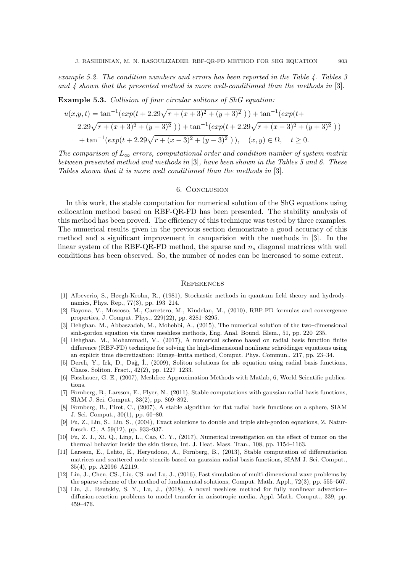example 5.2. The condition numbers and errors has been reported in the Table 4. Tables 3 and  $\ddagger$  shown that the presented method is more well-conditioned than the methods in [3].

### Example 5.3. Collision of four circular solitons of ShG equation:

$$
u(x,y,t) = \tan^{-1}(exp(t+2.29\sqrt{r+(x+3)^2+(y+3)^2})) + \tan^{-1}(exp(t+2.29\sqrt{r+(x+3)^2+(y-3)^2})) + \tan^{-1}(exp(t+2.29\sqrt{r+(x-3)^2+(y+3)^2})) + \tan^{-1}(exp(t+2.29\sqrt{r+(x-3)^2+(y-3)^2})), (x,y) \in \Omega, t \ge 0.
$$

The comparison of  $L_{\infty}$  errors, computational order and condition number of system matrix between presented method and methods in [3], have been shown in the Tables 5 and 6. These Tables shown that it is more well conditioned than the methods in [3].

## 6. Conclusion

In this work, the stable computation for numerical solution of the ShG equations using collocation method based on RBF-QR-FD has been presented. The stability analysis of this method has been proved. The efficiency of this technique was tested by three examples. The numerical results given in the previous section demonstrate a good accuracy of this method and a significant improvement in camparision with the methods in [3]. In the linear system of the RBF-QR-FD method, the sparse and  $n<sub>s</sub>$  diagonal matrices with well conditions has been observed. So, the number of nodes can be increased to some extent.

#### **REFERENCES**

- [1] Albeverio, S., Høegh-Krohn, R., (1981), Stochastic methods in quantum field theory and hydrodynamics, Phys. Rep., 77(3), pp. 193–214.
- [2] Bayona, V., Moscoso, M., Carretero, M., Kindelan, M., (2010), RBF-FD formulas and convergence properties, J. Comput. Phys., 229(22), pp. 8281–8295.
- [3] Dehghan, M., Abbaszadeh, M., Mohebbi, A., (2015), The numerical solution of the two–dimensional sinh-gordon equation via three meshless methods, Eng. Anal. Bound. Elem., 51, pp. 220–235.
- [4] Dehghan, M., Mohammadi, V., (2017), A numerical scheme based on radial basis function finite difference (RBF-FD) technique for solving the high-dimensional nonlinear schrödinger equations using an explicit time discretization: Runge–kutta method, Comput. Phys. Commun., 217, pp. 23–34.
- [5] Dereli, Y., Irk, D., Dağ, İ., (2009), Soliton solutions for nls equation using radial basis functions, Chaos. Soliton. Fract., 42(2), pp. 1227–1233.
- [6] Fasshauer, G. E., (2007), Meshfree Approximation Methods with Matlab, 6, World Scientific publications.
- [7] Fornberg, B., Larsson, E., Flyer, N., (2011), Stable computations with gaussian radial basis functions, SIAM J. Sci. Comput., 33(2), pp. 869–892.
- [8] Fornberg, B., Piret, C., (2007), A stable algorithm for flat radial basis functions on a sphere, SIAM J. Sci. Comput., 30(1), pp. 60–80.
- [9] Fu, Z., Liu, S., Liu, S., (2004), Exact solutions to double and triple sinh-gordon equations, Z. Naturforsch. C., A 59(12), pp. 933–937.
- [10] Fu, Z. J., Xi, Q., Ling, L., Cao, C. Y., (2017), Numerical investigation on the effect of tumor on the thermal behavior inside the skin tissue, Int. J. Heat. Mass. Tran., 108, pp. 1154–1163.
- [11] Larsson, E., Lehto, E., Heryudono, A., Fornberg, B., (2013), Stable computation of differentiation matrices and scattered node stencils based on gaussian radial basis functions, SIAM J. Sci. Comput., 35(4), pp. A2096–A2119.
- [12] Lin, J., Chen, CS., Liu, CS. and Lu, J., (2016), Fast simulation of multi-dimensional wave problems by the sparse scheme of the method of fundamental solutions, Comput. Math. Appl., 72(3), pp. 555–567.
- [13] Lin, J., Reutskiy, S. Y., Lu, J., (2018), A novel meshless method for fully nonlinear advection– diffusion-reaction problems to model transfer in anisotropic media, Appl. Math. Comput., 339, pp. 459–476.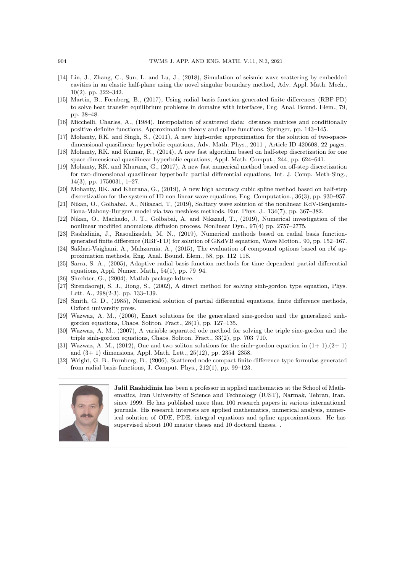- [14] Lin, J., Zhang, C., Sun, L. and Lu, J., (2018), Simulation of seismic wave scattering by embedded cavities in an elastic half-plane using the novel singular boundary method, Adv. Appl. Math. Mech., 10(2), pp. 322–342.
- [15] Martin, B., Fornberg, B., (2017), Using radial basis function-generated finite differences (RBF-FD) to solve heat transfer equilibrium problems in domains with interfaces, Eng. Anal. Bound. Elem., 79, pp. 38–48.
- [16] Micchelli, Charles, A., (1984), Interpolation of scattered data: distance matrices and conditionally positive definite functions, Approximation theory and spline functions, Springer, pp. 143–145.
- [17] Mohanty, RK. and Singh, S., (2011), A new high-order approximation for the solution of two-spacedimensional quasilinear hyperbolic equations, Adv. Math. Phys., 2011 , Article ID 420608, 22 pages.
- [18] Mohanty, RK. and Kumar, R., (2014), A new fast algorithm based on half-step discretization for one space dimensional quasilinear hyperbolic equations, Appl. Math. Comput., 244, pp. 624–641.
- [19] Mohanty, RK. and Khurana, G., (2017), A new fast numerical method based on off-step discretization for two-dimensional quasilinear hyperbolic partial differential equations, Int. J. Comp. Meth-Sing., 14(3), pp. 1750031, 1–27.
- [20] Mohanty, RK. and Khurana, G., (2019), A new high accuracy cubic spline method based on half-step discretization for the system of 1D non-linear wave equations, Eng. Computation., 36(3), pp. 930–957.
- [21] Nikan, O., Golbabai, A., Nikazad, T, (2019), Solitary wave solution of the nonlinear KdV-Benjamin-Bona-Mahony-Burgers model via two meshless methods. Eur. Phys. J., 134(7), pp. 367–382.
- [22] Nikan, O., Machado, J. T., Golbabai, A. and Nikazad, T., (2019), Numerical investigation of the nonlinear modified anomalous diffusion process. Nonlinear Dyn., 97(4) pp. 2757–2775.
- [23] Rashidinia, J., Rasoulizadeh, M. N., (2019), Numerical methods based on radial basis functiongenerated finite difference (RBF-FD) for solution of GKdVB equation, Wave Motion., 90, pp. 152–167.
- [24] Safdari-Vaighani, A., Mahzarnia, A., (2015), The evaluation of compound options based on rbf approximation methods, Eng. Anal. Bound. Elem., 58, pp. 112–118.
- [25] Sarra, S. A., (2005), Adaptive radial basis function methods for time dependent partial differential equations, Appl. Numer. Math., 54(1), pp. 79–94.
- Shechter, G., (2004), Matlab package kdtree.
- [27] Sirendaoreji, S. J., Jiong, S., (2002), A direct method for solving sinh-gordon type equation, Phys. Lett. A., 298(2-3), pp. 133–139.
- [28] Smith, G. D., (1985), Numerical solution of partial differential equations, finite difference methods, Oxford university press.
- [29] Wazwaz, A. M., (2006), Exact solutions for the generalized sine-gordon and the generalized sinhgordon equations, Chaos. Soliton. Fract., 28(1), pp. 127–135.
- [30] Wazwaz, A. M., (2007), A variable separated ode method for solving the triple sine-gordon and the triple sinh-gordon equations, Chaos. Soliton. Fract., 33(2), pp. 703–710.
- [31] Wazwaz, A. M., (2012), One and two soliton solutions for the sinh–gordon equation in  $(1+1)(2+1)$ and (3+ 1) dimensions, Appl. Math. Lett., 25(12), pp. 2354–2358.
- [32] Wright, G. B., Fornberg, B., (2006), Scattered node compact finite difference-type formulas generated from radial basis functions, J. Comput. Phys., 212(1), pp. 99–123.



Jalil Rashidinia has been a professor in applied mathematics at the School of Mathematics, Iran University of Science and Technology (IUST), Narmak, Tehran, Iran, since 1999. He has published more than 100 research papers in various international journals. His research interests are applied mathematics, numerical analysis, numerical solution of ODE, PDE, integral equations and spline approximations. He has supervised about 100 master theses and 10 doctoral theses. .